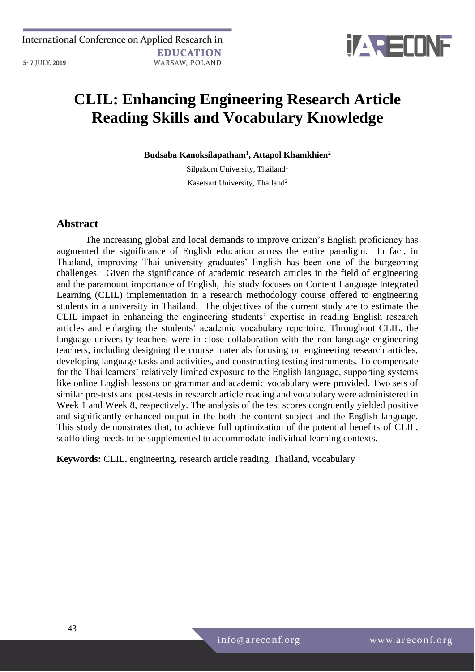

# **CLIL: Enhancing Engineering Research Article Reading Skills and Vocabulary Knowledge**

**Budsaba Kanoksilapatham<sup>1</sup> , Attapol Khamkhien<sup>2</sup>**

Silpakorn University, Thailand<sup>1</sup> Kasetsart University, Thailand<sup>2</sup>

# **Abstract**

The increasing global and local demands to improve citizen's English proficiency has augmented the significance of English education across the entire paradigm. In fact, in Thailand, improving Thai university graduates' English has been one of the burgeoning challenges. Given the significance of academic research articles in the field of engineering and the paramount importance of English, this study focuses on Content Language Integrated Learning (CLIL) implementation in a research methodology course offered to engineering students in a university in Thailand. The objectives of the current study are to estimate the CLIL impact in enhancing the engineering students' expertise in reading English research articles and enlarging the students' academic vocabulary repertoire. Throughout CLIL, the language university teachers were in close collaboration with the non-language engineering teachers, including designing the course materials focusing on engineering research articles, developing language tasks and activities, and constructing testing instruments. To compensate for the Thai learners' relatively limited exposure to the English language, supporting systems like online English lessons on grammar and academic vocabulary were provided. Two sets of similar pre-tests and post-tests in research article reading and vocabulary were administered in Week 1 and Week 8, respectively. The analysis of the test scores congruently yielded positive and significantly enhanced output in the both the content subject and the English language. This study demonstrates that, to achieve full optimization of the potential benefits of CLIL, scaffolding needs to be supplemented to accommodate individual learning contexts.

**Keywords:** CLIL, engineering, research article reading, Thailand, vocabulary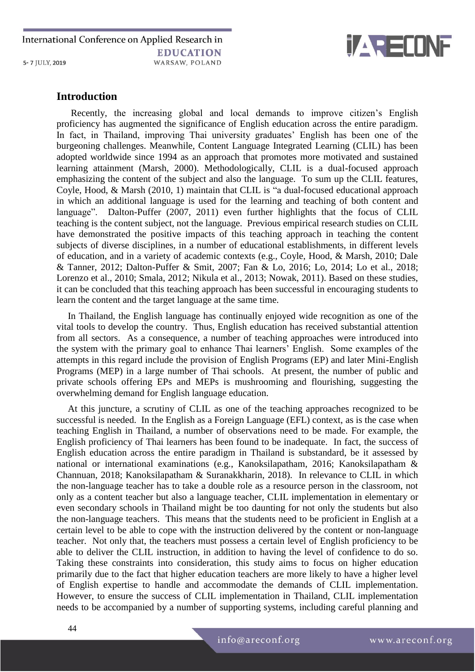

# **Introduction**

 Recently, the increasing global and local demands to improve citizen's English proficiency has augmented the significance of English education across the entire paradigm. In fact, in Thailand, improving Thai university graduates' English has been one of the burgeoning challenges. Meanwhile, Content Language Integrated Learning (CLIL) has been adopted worldwide since 1994 as an approach that promotes more motivated and sustained learning attainment (Marsh, 2000). Methodologically, CLIL is a dual-focused approach emphasizing the content of the subject and also the language. To sum up the CLIL features, Coyle, Hood, & Marsh (2010, 1) maintain that CLIL is "a dual-focused educational approach in which an additional language is used for the learning and teaching of both content and language". Dalton-Puffer (2007, 2011) even further highlights that the focus of CLIL teaching is the content subject, not the language. Previous empirical research studies on CLIL have demonstrated the positive impacts of this teaching approach in teaching the content subjects of diverse disciplines, in a number of educational establishments, in different levels of education, and in a variety of academic contexts (e.g., Coyle, Hood, & Marsh, 2010; Dale & Tanner, 2012; Dalton-Puffer & Smit, 2007; Fan & Lo, 2016; Lo, 2014; Lo et al., 2018; Lorenzo et al., 2010; Smala, 2012; Nikula et al., 2013; Nowak, 2011). Based on these studies, it can be concluded that this teaching approach has been successful in encouraging students to learn the content and the target language at the same time.

In Thailand, the English language has continually enjoyed wide recognition as one of the vital tools to develop the country. Thus, English education has received substantial attention from all sectors. As a consequence, a number of teaching approaches were introduced into the system with the primary goal to enhance Thai learners' English. Some examples of the attempts in this regard include the provision of English Programs (EP) and later Mini-English Programs (MEP) in a large number of Thai schools. At present, the number of public and private schools offering EPs and MEPs is mushrooming and flourishing, suggesting the overwhelming demand for English language education.

At this juncture, a scrutiny of CLIL as one of the teaching approaches recognized to be successful is needed. In the English as a Foreign Language (EFL) context, as is the case when teaching English in Thailand, a number of observations need to be made. For example, the English proficiency of Thai learners has been found to be inadequate. In fact, the success of English education across the entire paradigm in Thailand is substandard, be it assessed by national or international examinations (e.g., Kanoksilapatham, 2016; Kanoksilapatham & Channuan, 2018; Kanoksilapatham & Suranakkharin, 2018). In relevance to CLIL in which the non-language teacher has to take a double role as a resource person in the classroom, not only as a content teacher but also a language teacher, CLIL implementation in elementary or even secondary schools in Thailand might be too daunting for not only the students but also the non-language teachers. This means that the students need to be proficient in English at a certain level to be able to cope with the instruction delivered by the content or non-language teacher. Not only that, the teachers must possess a certain level of English proficiency to be able to deliver the CLIL instruction, in addition to having the level of confidence to do so. Taking these constraints into consideration, this study aims to focus on higher education primarily due to the fact that higher education teachers are more likely to have a higher level of English expertise to handle and accommodate the demands of CLIL implementation. However, to ensure the success of CLIL implementation in Thailand, CLIL implementation needs to be accompanied by a number of supporting systems, including careful planning and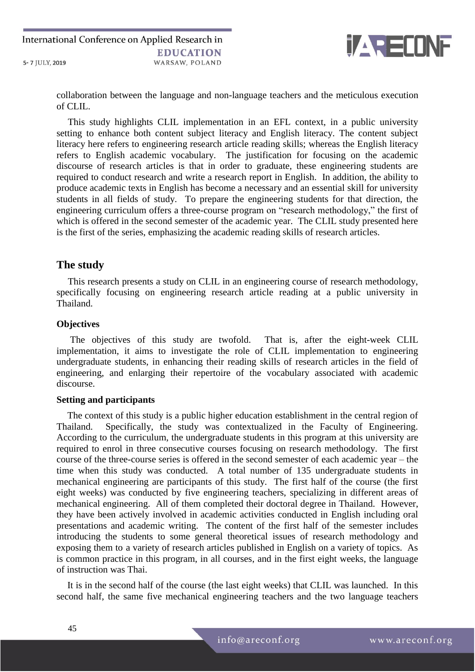

collaboration between the language and non-language teachers and the meticulous execution of CLIL.

This study highlights CLIL implementation in an EFL context, in a public university setting to enhance both content subject literacy and English literacy. The content subject literacy here refers to engineering research article reading skills; whereas the English literacy refers to English academic vocabulary. The justification for focusing on the academic discourse of research articles is that in order to graduate, these engineering students are required to conduct research and write a research report in English. In addition, the ability to produce academic texts in English has become a necessary and an essential skill for university students in all fields of study. To prepare the engineering students for that direction, the engineering curriculum offers a three-course program on "research methodology," the first of which is offered in the second semester of the academic year. The CLIL study presented here is the first of the series, emphasizing the academic reading skills of research articles.

# **The study**

This research presents a study on CLIL in an engineering course of research methodology, specifically focusing on engineering research article reading at a public university in Thailand.

## **Objectives**

The objectives of this study are twofold. That is, after the eight-week CLIL implementation, it aims to investigate the role of CLIL implementation to engineering undergraduate students, in enhancing their reading skills of research articles in the field of engineering, and enlarging their repertoire of the vocabulary associated with academic discourse.

#### **Setting and participants**

The context of this study is a public higher education establishment in the central region of Thailand. Specifically, the study was contextualized in the Faculty of Engineering. According to the curriculum, the undergraduate students in this program at this university are required to enrol in three consecutive courses focusing on research methodology. The first course of the three-course series is offered in the second semester of each academic year – the time when this study was conducted. A total number of 135 undergraduate students in mechanical engineering are participants of this study. The first half of the course (the first eight weeks) was conducted by five engineering teachers, specializing in different areas of mechanical engineering. All of them completed their doctoral degree in Thailand. However, they have been actively involved in academic activities conducted in English including oral presentations and academic writing. The content of the first half of the semester includes introducing the students to some general theoretical issues of research methodology and exposing them to a variety of research articles published in English on a variety of topics. As is common practice in this program, in all courses, and in the first eight weeks, the language of instruction was Thai.

It is in the second half of the course (the last eight weeks) that CLIL was launched. In this second half, the same five mechanical engineering teachers and the two language teachers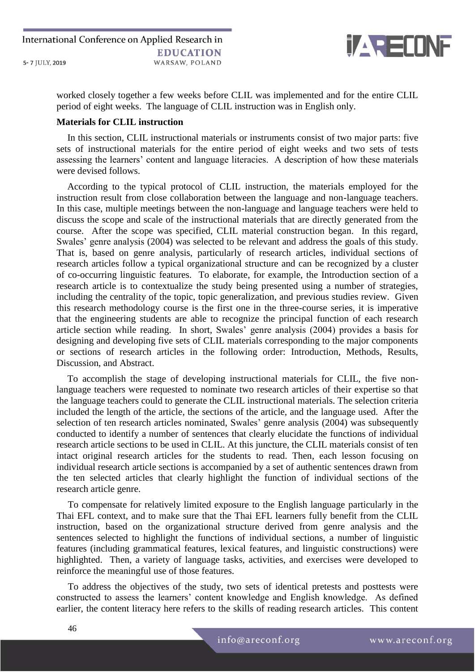

worked closely together a few weeks before CLIL was implemented and for the entire CLIL period of eight weeks. The language of CLIL instruction was in English only.

## **Materials for CLIL instruction**

In this section, CLIL instructional materials or instruments consist of two major parts: five sets of instructional materials for the entire period of eight weeks and two sets of tests assessing the learners' content and language literacies. A description of how these materials were devised follows.

According to the typical protocol of CLIL instruction, the materials employed for the instruction result from close collaboration between the language and non-language teachers. In this case, multiple meetings between the non-language and language teachers were held to discuss the scope and scale of the instructional materials that are directly generated from the course. After the scope was specified, CLIL material construction began. In this regard, Swales' genre analysis (2004) was selected to be relevant and address the goals of this study. That is, based on genre analysis, particularly of research articles, individual sections of research articles follow a typical organizational structure and can be recognized by a cluster of co-occurring linguistic features. To elaborate, for example, the Introduction section of a research article is to contextualize the study being presented using a number of strategies, including the centrality of the topic, topic generalization, and previous studies review. Given this research methodology course is the first one in the three-course series, it is imperative that the engineering students are able to recognize the principal function of each research article section while reading. In short, Swales' genre analysis (2004) provides a basis for designing and developing five sets of CLIL materials corresponding to the major components or sections of research articles in the following order: Introduction, Methods, Results, Discussion, and Abstract.

To accomplish the stage of developing instructional materials for CLIL, the five nonlanguage teachers were requested to nominate two research articles of their expertise so that the language teachers could to generate the CLIL instructional materials. The selection criteria included the length of the article, the sections of the article, and the language used. After the selection of ten research articles nominated, Swales' genre analysis (2004) was subsequently conducted to identify a number of sentences that clearly elucidate the functions of individual research article sections to be used in CLIL. At this juncture, the CLIL materials consist of ten intact original research articles for the students to read. Then, each lesson focusing on individual research article sections is accompanied by a set of authentic sentences drawn from the ten selected articles that clearly highlight the function of individual sections of the research article genre.

To compensate for relatively limited exposure to the English language particularly in the Thai EFL context, and to make sure that the Thai EFL learners fully benefit from the CLIL instruction, based on the organizational structure derived from genre analysis and the sentences selected to highlight the functions of individual sections, a number of linguistic features (including grammatical features, lexical features, and linguistic constructions) were highlighted. Then, a variety of language tasks, activities, and exercises were developed to reinforce the meaningful use of those features.

To address the objectives of the study, two sets of identical pretests and posttests were constructed to assess the learners' content knowledge and English knowledge. As defined earlier, the content literacy here refers to the skills of reading research articles. This content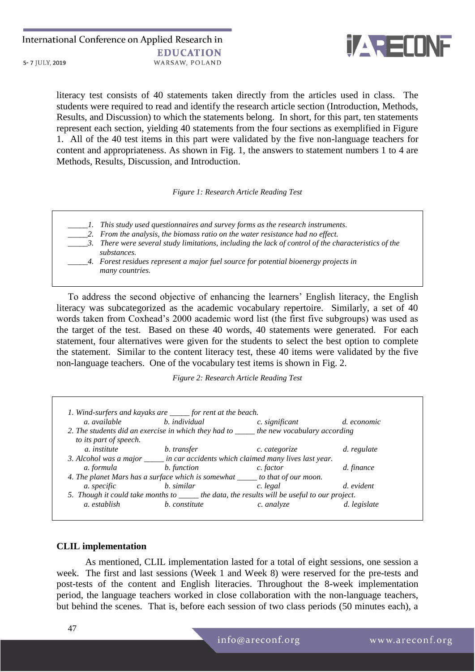

literacy test consists of 40 statements taken directly from the articles used in class. The students were required to read and identify the research article section (Introduction, Methods, Results, and Discussion) to which the statements belong. In short, for this part, ten statements represent each section, yielding 40 statements from the four sections as exemplified in Figure 1. All of the 40 test items in this part were validated by the five non-language teachers for content and appropriateness. As shown in Fig. 1, the answers to statement numbers 1 to 4 are Methods, Results, Discussion, and Introduction.

*Figure 1: Research Article Reading Test*

- \_\_\_\_\_*1. This study used questionnaires and survey forms as the research instruments.*
- *\_\_\_\_\_2. From the analysis, the biomass ratio on the water resistance had no effect.*
- *\_\_\_\_\_3. There were several study limitations, including the lack of control of the characteristics of the substances.*
	- *\_\_\_\_\_4. Forest residues represent a major fuel source for potential bioenergy projects in many countries.*

To address the second objective of enhancing the learners' English literacy, the English literacy was subcategorized as the academic vocabulary repertoire. Similarly, a set of 40 words taken from Coxhead's 2000 academic word list (the first five subgroups) was used as the target of the test. Based on these 40 words, 40 statements were generated. For each statement, four alternatives were given for the students to select the best option to complete the statement. Similar to the content literacy test, these 40 items were validated by the five non-language teachers. One of the vocabulary test items is shown in Fig. 2.

*Figure 2: Research Article Reading Test*

| a. available           | b. individual                                                                                | c. significant | d. economic  |
|------------------------|----------------------------------------------------------------------------------------------|----------------|--------------|
|                        | 2. The students did an exercise in which they had to _____ the new vocabulary according      |                |              |
| to its part of speech. |                                                                                              |                |              |
| a. <i>institute</i>    | b. transfer                                                                                  | c. categorize  | d. regulate  |
|                        | 3. Alcohol was a major _____ in car accidents which claimed many lives last year.            |                |              |
| a. formula             | b. function                                                                                  | c. factor      | d. finance   |
|                        | 4. The planet Mars has a surface which is somewhat _____ to that of our moon.                |                |              |
| a. specific            | b. similar                                                                                   | c. legal       | d. evident   |
|                        | 5. Though it could take months to _____ the data, the results will be useful to our project. |                |              |
| a. establish           | <i>b.</i> constitute                                                                         | c. analyze     | d. legislate |

## **CLIL implementation**

As mentioned, CLIL implementation lasted for a total of eight sessions, one session a week. The first and last sessions (Week 1 and Week 8) were reserved for the pre-tests and post-tests of the content and English literacies. Throughout the 8-week implementation period, the language teachers worked in close collaboration with the non-language teachers, but behind the scenes. That is, before each session of two class periods (50 minutes each), a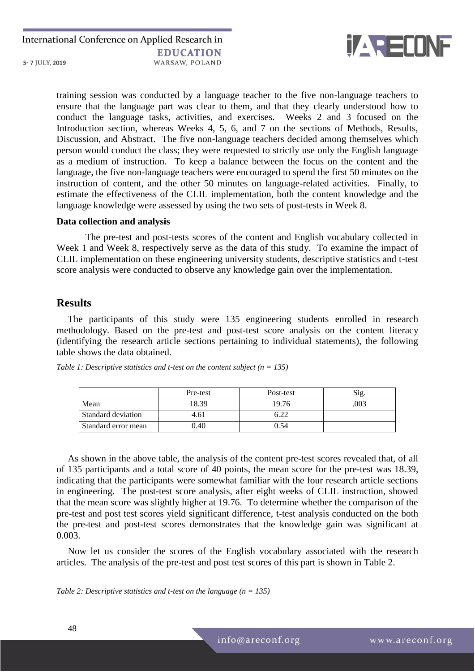International Conference on Applied Research in **EDUCATION** WARSAW, POLAND 5-7 JULY, 2019



training session was conducted by a language teacher to the five non-language teachers to ensure that the language part was clear to them, and that they clearly understood how to conduct the language tasks, activities, and exercises. Weeks 2 and 3 focused on the Introduction section, whereas Weeks 4, 5, 6, and 7 on the sections of Methods, Results, Discussion, and Abstract. The five non-language teachers decided among themselves which person would conduct the class; they were requested to strictly use only the English language as a medium of instruction. To keep a balance between the focus on the content and the language, the five non-language teachers were encouraged to spend the first 50 minutes on the instruction of content, and the other 50 minutes on language-related activities. Finally, to estimate the effectiveness of the CLIL implementation, both the content knowledge and the language knowledge were assessed by using the two sets of post-tests in Week 8.

#### **Data collection and analysis**

The pre-test and post-tests scores of the content and English vocabulary collected in Week 1 and Week 8, respectively serve as the data of this study. To examine the impact of CLIL implementation on these engineering university students, descriptive statistics and t-test score analysis were conducted to observe any knowledge gain over the implementation.

## **Results**

The participants of this study were 135 engineering students enrolled in research methodology. Based on the pre-test and post-test score analysis on the content literacy (identifying the research article sections pertaining to individual statements), the following table shows the data obtained.

|                     | Pre-test | Post-test | Sig. |
|---------------------|----------|-----------|------|
| Mean                | 18.39    | 19.76     | 003  |
| Standard deviation  | 4.61     | 6.22      |      |
| Standard error mean | 0.40     | 0.54      |      |

*Table 1: Descriptive statistics and t-test on the content subject (n = 135)* 

As shown in the above table, the analysis of the content pre-test scores revealed that, of all of 135 participants and a total score of 40 points, the mean score for the pre-test was 18.39, indicating that the participants were somewhat familiar with the four research article sections in engineering. The post-test score analysis, after eight weeks of CLIL instruction, showed that the mean score was slightly higher at 19.76. To determine whether the comparison of the pre-test and post test scores yield significant difference, t-test analysis conducted on the both the pre-test and post-test scores demonstrates that the knowledge gain was significant at 0.003.

Now let us consider the scores of the English vocabulary associated with the research articles. The analysis of the pre-test and post test scores of this part is shown in Table 2.

*Table 2: Descriptive statistics and t-test on the language (n = 135)*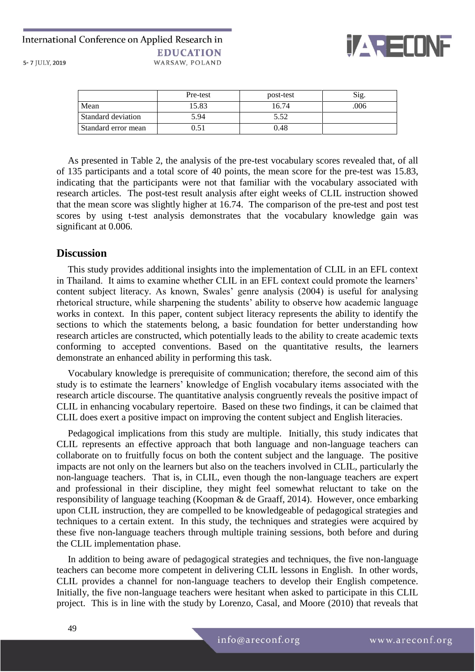# International Conference on Applied Research in **EDUCATION**

5-7 JULY, 2019



WARSAW, POLAND

|                     | Pre-test | post-test | Sig. |
|---------------------|----------|-----------|------|
| Mean                | 15.83    | 16.74     | 006  |
| Standard deviation  | 5.94     | 5.52      |      |
| Standard error mean | 0.51     | 0.48      |      |

As presented in Table 2, the analysis of the pre-test vocabulary scores revealed that, of all of 135 participants and a total score of 40 points, the mean score for the pre-test was 15.83, indicating that the participants were not that familiar with the vocabulary associated with research articles. The post-test result analysis after eight weeks of CLIL instruction showed that the mean score was slightly higher at 16.74. The comparison of the pre-test and post test scores by using t-test analysis demonstrates that the vocabulary knowledge gain was significant at 0.006.

# **Discussion**

This study provides additional insights into the implementation of CLIL in an EFL context in Thailand. It aims to examine whether CLIL in an EFL context could promote the learners' content subject literacy. As known, Swales' genre analysis (2004) is useful for analysing rhetorical structure, while sharpening the students' ability to observe how academic language works in context. In this paper, content subject literacy represents the ability to identify the sections to which the statements belong, a basic foundation for better understanding how research articles are constructed, which potentially leads to the ability to create academic texts conforming to accepted conventions. Based on the quantitative results, the learners demonstrate an enhanced ability in performing this task.

Vocabulary knowledge is prerequisite of communication; therefore, the second aim of this study is to estimate the learners' knowledge of English vocabulary items associated with the research article discourse. The quantitative analysis congruently reveals the positive impact of CLIL in enhancing vocabulary repertoire. Based on these two findings, it can be claimed that CLIL does exert a positive impact on improving the content subject and English literacies.

Pedagogical implications from this study are multiple. Initially, this study indicates that CLIL represents an effective approach that both language and non-language teachers can collaborate on to fruitfully focus on both the content subject and the language. The positive impacts are not only on the learners but also on the teachers involved in CLIL, particularly the non-language teachers. That is, in CLIL, even though the non-language teachers are expert and professional in their discipline, they might feel somewhat reluctant to take on the responsibility of language teaching (Koopman & de Graaff, 2014). However, once embarking upon CLIL instruction, they are compelled to be knowledgeable of pedagogical strategies and techniques to a certain extent. In this study, the techniques and strategies were acquired by these five non-language teachers through multiple training sessions, both before and during the CLIL implementation phase.

In addition to being aware of pedagogical strategies and techniques, the five non-language teachers can become more competent in delivering CLIL lessons in English. In other words, CLIL provides a channel for non-language teachers to develop their English competence. Initially, the five non-language teachers were hesitant when asked to participate in this CLIL project. This is in line with the study by Lorenzo, Casal, and Moore (2010) that reveals that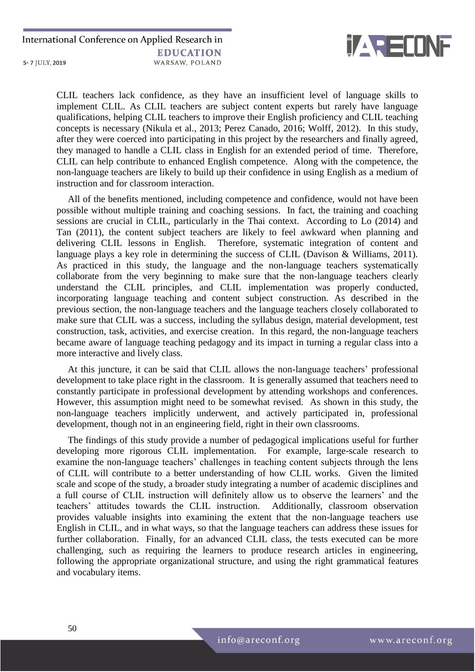International Conference on Applied Research in **EDUCATION** 5-7 JULY, 2019 WARSAW, POLAND



CLIL teachers lack confidence, as they have an insufficient level of language skills to implement CLIL. As CLIL teachers are subject content experts but rarely have language qualifications, helping CLIL teachers to improve their English proficiency and CLIL teaching concepts is necessary (Nikula et al., 2013; Perez Canado, 2016; Wolff, 2012). In this study, after they were coerced into participating in this project by the researchers and finally agreed, they managed to handle a CLIL class in English for an extended period of time. Therefore, CLIL can help contribute to enhanced English competence. Along with the competence, the non-language teachers are likely to build up their confidence in using English as a medium of instruction and for classroom interaction.

All of the benefits mentioned, including competence and confidence, would not have been possible without multiple training and coaching sessions. In fact, the training and coaching sessions are crucial in CLIL, particularly in the Thai context. According to Lo (2014) and Tan (2011), the content subject teachers are likely to feel awkward when planning and delivering CLIL lessons in English. Therefore, systematic integration of content and language plays a key role in determining the success of CLIL (Davison & Williams, 2011). As practiced in this study, the language and the non-language teachers systematically collaborate from the very beginning to make sure that the non-language teachers clearly understand the CLIL principles, and CLIL implementation was properly conducted, incorporating language teaching and content subject construction. As described in the previous section, the non-language teachers and the language teachers closely collaborated to make sure that CLIL was a success, including the syllabus design, material development, test construction, task, activities, and exercise creation. In this regard, the non-language teachers became aware of language teaching pedagogy and its impact in turning a regular class into a more interactive and lively class.

At this juncture, it can be said that CLIL allows the non-language teachers' professional development to take place right in the classroom. It is generally assumed that teachers need to constantly participate in professional development by attending workshops and conferences. However, this assumption might need to be somewhat revised. As shown in this study, the non-language teachers implicitly underwent, and actively participated in, professional development, though not in an engineering field, right in their own classrooms.

The findings of this study provide a number of pedagogical implications useful for further developing more rigorous CLIL implementation. For example, large-scale research to examine the non-language teachers' challenges in teaching content subjects through the lens of CLIL will contribute to a better understanding of how CLIL works. Given the limited scale and scope of the study, a broader study integrating a number of academic disciplines and a full course of CLIL instruction will definitely allow us to observe the learners' and the teachers' attitudes towards the CLIL instruction. Additionally, classroom observation provides valuable insights into examining the extent that the non-language teachers use English in CLIL, and in what ways, so that the language teachers can address these issues for further collaboration. Finally, for an advanced CLIL class, the tests executed can be more challenging, such as requiring the learners to produce research articles in engineering, following the appropriate organizational structure, and using the right grammatical features and vocabulary items.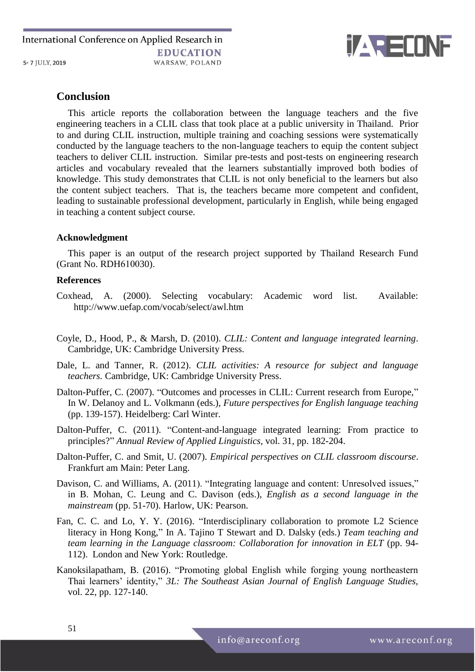

# **Conclusion**

This article reports the collaboration between the language teachers and the five engineering teachers in a CLIL class that took place at a public university in Thailand. Prior to and during CLIL instruction, multiple training and coaching sessions were systematically conducted by the language teachers to the non-language teachers to equip the content subject teachers to deliver CLIL instruction. Similar pre-tests and post-tests on engineering research articles and vocabulary revealed that the learners substantially improved both bodies of knowledge. This study demonstrates that CLIL is not only beneficial to the learners but also the content subject teachers. That is, the teachers became more competent and confident, leading to sustainable professional development, particularly in English, while being engaged in teaching a content subject course.

## **Acknowledgment**

This paper is an output of the research project supported by Thailand Research Fund (Grant No. RDH610030).

## **References**

- Coxhead, A. (2000). Selecting vocabulary: Academic word list. Available: http://www.uefap.com/vocab/select/awl.htm
- Coyle, D., Hood, P., & Marsh, D. (2010). *CLIL: Content and language integrated learning*. Cambridge, UK: Cambridge University Press.
- Dale, L. and Tanner, R. (2012). *CLIL activities: A resource for subject and language teachers.* Cambridge, UK: Cambridge University Press.
- Dalton-Puffer, C. (2007). "Outcomes and processes in CLIL: Current research from Europe," In W. Delanoy and L. Volkmann (eds.), *Future perspectives for English language teaching* (pp. 139-157). Heidelberg: Carl Winter.
- Dalton-Puffer, C. (2011). "Content-and-language integrated learning: From practice to principles?" *Annual Review of Applied Linguistics,* vol. 31, pp. 182-204.
- Dalton-Puffer, C. and Smit, U. (2007). *Empirical perspectives on CLIL classroom discourse*. Frankfurt am Main: Peter Lang.
- Davison, C. and Williams, A. (2011). "Integrating language and content: Unresolved issues," in B. Mohan, C. Leung and C. Davison (eds.), *English as a second language in the mainstream* (pp. 51-70). Harlow, UK: Pearson.
- Fan, C. C. and Lo, Y. Y. (2016). "Interdisciplinary collaboration to promote L2 Science literacy in Hong Kong," In A. Tajino T Stewart and D. Dalsky (eds.) *Team teaching and team learning in the Language classroom: Collaboration for innovation in ELT* (pp. 94- 112). London and New York: Routledge.
- Kanoksilapatham, B. (2016). "Promoting global English while forging young northeastern Thai learners' identity," *3L: The Southeast Asian Journal of English Language Studies,*  vol. 22, pp. 127-140.